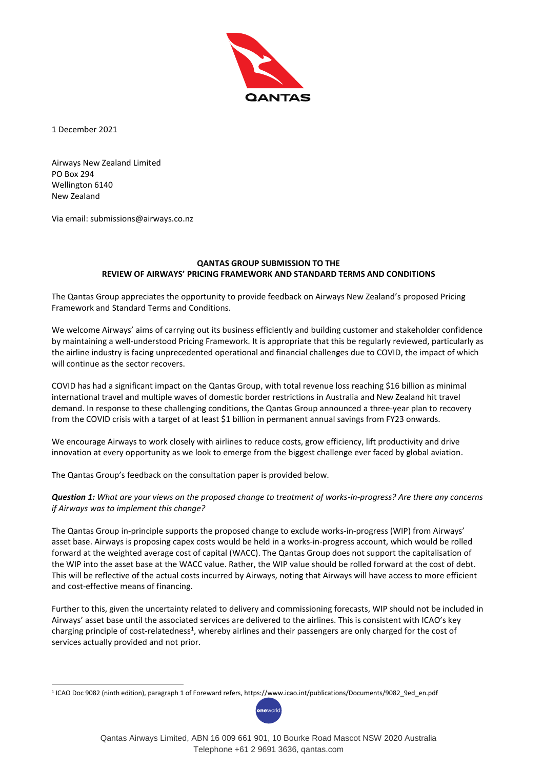

1 December 2021

-

Airways New Zealand Limited PO Box 294 Wellington 6140 New Zealand

Via email: submissions@airways.co.nz

## **QANTAS GROUP SUBMISSION TO THE REVIEW OF AIRWAYS' PRICING FRAMEWORK AND STANDARD TERMS AND CONDITIONS**

The Qantas Group appreciates the opportunity to provide feedback on Airways New Zealand's proposed Pricing Framework and Standard Terms and Conditions.

We welcome Airways' aims of carrying out its business efficiently and building customer and stakeholder confidence by maintaining a well-understood Pricing Framework. It is appropriate that this be regularly reviewed, particularly as the airline industry is facing unprecedented operational and financial challenges due to COVID, the impact of which will continue as the sector recovers.

COVID has had a significant impact on the Qantas Group, with total revenue loss reaching \$16 billion as minimal international travel and multiple waves of domestic border restrictions in Australia and New Zealand hit travel demand. In response to these challenging conditions, the Qantas Group announced a three-year plan to recovery from the COVID crisis with a target of at least \$1 billion in permanent annual savings from FY23 onwards.

We encourage Airways to work closely with airlines to reduce costs, grow efficiency, lift productivity and drive innovation at every opportunity as we look to emerge from the biggest challenge ever faced by global aviation.

The Qantas Group's feedback on the consultation paper is provided below.

*Question 1: What are your views on the proposed change to treatment of works-in-progress? Are there any concerns if Airways was to implement this change?*

The Qantas Group in-principle supports the proposed change to exclude works-in-progress (WIP) from Airways' asset base. Airways is proposing capex costs would be held in a works-in-progress account, which would be rolled forward at the weighted average cost of capital (WACC). The Qantas Group does not support the capitalisation of the WIP into the asset base at the WACC value. Rather, the WIP value should be rolled forward at the cost of debt. This will be reflective of the actual costs incurred by Airways, noting that Airways will have access to more efficient and cost-effective means of financing.

Further to this, given the uncertainty related to delivery and commissioning forecasts, WIP should not be included in Airways' asset base until the associated services are delivered to the airlines. This is consistent with ICAO's key charging principle of cost-relatedness<sup>1</sup>, whereby airlines and their passengers are only charged for the cost of services actually provided and not prior.

<sup>1</sup> ICAO Doc 9082 (ninth edition), paragraph 1 of Foreward refers, https://www.icao.int/publications/Documents/9082\_9ed\_en.pdf